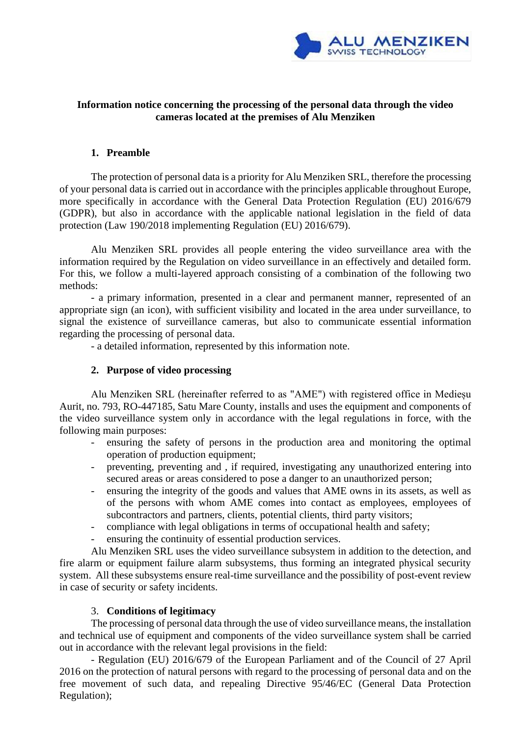

# **Information notice concerning the processing of the personal data through the video cameras located at the premises of Alu Menziken**

### **1. Preamble**

The protection of personal data is a priority for Alu Menziken SRL, therefore the processing of your personal data is carried out in accordance with the principles applicable throughout Europe, more specifically in accordance with the General Data Protection Regulation (EU) 2016/679 (GDPR), but also in accordance with the applicable national legislation in the field of data protection (Law 190/2018 implementing Regulation (EU) 2016/679).

Alu Menziken SRL provides all people entering the video surveillance area with the information required by the Regulation on video surveillance in an effectively and detailed form. For this, we follow a multi-layered approach consisting of a combination of the following two methods:

- a primary information, presented in a clear and permanent manner, represented of an appropriate sign (an icon), with sufficient visibility and located in the area under surveillance, to signal the existence of surveillance cameras, but also to communicate essential information regarding the processing of personal data.

- a detailed information, represented by this information note.

# **2. Purpose of video processing**

Alu Menziken SRL (hereinafter referred to as "AME") with registered office in Medieșu Aurit, no. 793, RO-447185, Satu Mare County, installs and uses the equipment and components of the video surveillance system only in accordance with the legal regulations in force, with the following main purposes:

- ensuring the safety of persons in the production area and monitoring the optimal operation of production equipment;
- preventing, preventing and , if required, investigating any unauthorized entering into secured areas or areas considered to pose a danger to an unauthorized person;
- ensuring the integrity of the goods and values that AME owns in its assets, as well as of the persons with whom AME comes into contact as employees, employees of subcontractors and partners, clients, potential clients, third party visitors;
- compliance with legal obligations in terms of occupational health and safety;
- ensuring the continuity of essential production services.

Alu Menziken SRL uses the video surveillance subsystem in addition to the detection, and fire alarm or equipment failure alarm subsystems, thus forming an integrated physical security system. All these subsystems ensure real-time surveillance and the possibility of post-event review in case of security or safety incidents.

#### 3. **Conditions of legitimacy**

The processing of personal data through the use of video surveillance means, the installation and technical use of equipment and components of the video surveillance system shall be carried out in accordance with the relevant legal provisions in the field:

- Regulation (EU) 2016/679 of the European Parliament and of the Council of 27 April 2016 on the protection of natural persons with regard to the processing of personal data and on the free movement of such data, and repealing Directive 95/46/EC (General Data Protection Regulation);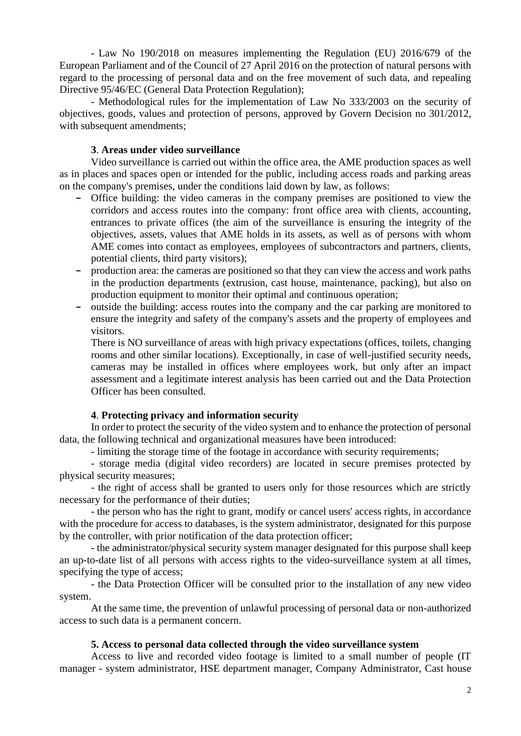- Law No 190/2018 on measures implementing the Regulation (EU) 2016/679 of the European Parliament and of the Council of 27 April 2016 on the protection of natural persons with regard to the processing of personal data and on the free movement of such data, and repealing Directive 95/46/EC (General Data Protection Regulation);

- Methodological rules for the implementation of Law No 333/2003 on the security of objectives, goods, values and protection of persons, approved by Govern Decision no 301/2012, with subsequent amendments;

#### **3**. **Areas under video surveillance**

Video surveillance is carried out within the office area, the AME production spaces as well as in places and spaces open or intended for the public, including access roads and parking areas on the company's premises, under the conditions laid down by law, as follows:

- Office building: the video cameras in the company premises are positioned to view the corridors and access routes into the company: front office area with clients, accounting, entrances to private offices (the aim of the surveillance is ensuring the integrity of the objectives, assets, values that AME holds in its assets, as well as of persons with whom AME comes into contact as employees, employees of subcontractors and partners, clients, potential clients, third party visitors);
- production area: the cameras are positioned so that they can view the access and work paths in the production departments (extrusion, cast house, maintenance, packing), but also on production equipment to monitor their optimal and continuous operation;
- outside the building: access routes into the company and the car parking are monitored to ensure the integrity and safety of the company's assets and the property of employees and visitors.

There is NO surveillance of areas with high privacy expectations (offices, toilets, changing rooms and other similar locations). Exceptionally, in case of well-justified security needs, cameras may be installed in offices where employees work, but only after an impact assessment and a legitimate interest analysis has been carried out and the Data Protection Officer has been consulted.

#### **4**. **Protecting privacy and information security**

In order to protect the security of the video system and to enhance the protection of personal data, the following technical and organizational measures have been introduced:

- limiting the storage time of the footage in accordance with security requirements;

- storage media (digital video recorders) are located in secure premises protected by physical security measures;

- the right of access shall be granted to users only for those resources which are strictly necessary for the performance of their duties;

- the person who has the right to grant, modify or cancel users' access rights, in accordance with the procedure for access to databases, is the system administrator, designated for this purpose by the controller, with prior notification of the data protection officer;

- the administrator/physical security system manager designated for this purpose shall keep an up-to-date list of all persons with access rights to the video-surveillance system at all times, specifying the type of access;

- the Data Protection Officer will be consulted prior to the installation of any new video system.

At the same time, the prevention of unlawful processing of personal data or non-authorized access to such data is a permanent concern.

#### **5. Access to personal data collected through the video surveillance system**

Access to live and recorded video footage is limited to a small number of people (IT manager - system administrator, HSE department manager, Company Administrator, Cast house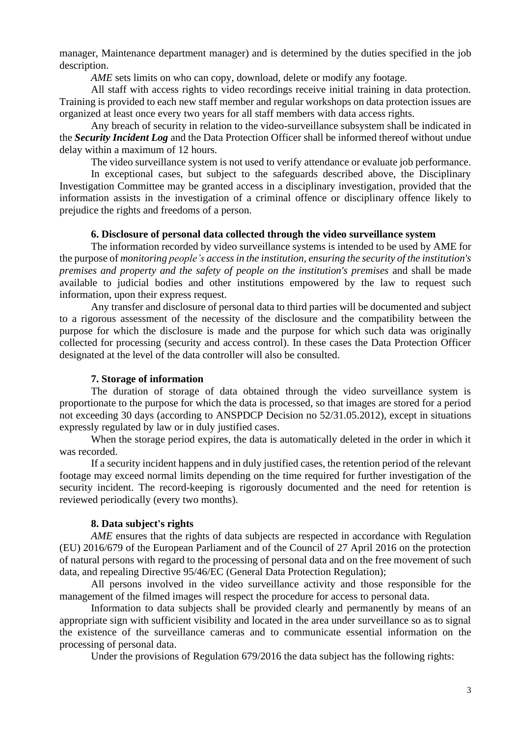manager, Maintenance department manager) and is determined by the duties specified in the job description.

*AME* sets limits on who can copy, download, delete or modify any footage.

All staff with access rights to video recordings receive initial training in data protection. Training is provided to each new staff member and regular workshops on data protection issues are organized at least once every two years for all staff members with data access rights.

Any breach of security in relation to the video-surveillance subsystem shall be indicated in the *Security Incident Log* and the Data Protection Officer shall be informed thereof without undue delay within a maximum of 12 hours.

The video surveillance system is not used to verify attendance or evaluate job performance.

In exceptional cases, but subject to the safeguards described above, the Disciplinary Investigation Committee may be granted access in a disciplinary investigation, provided that the information assists in the investigation of a criminal offence or disciplinary offence likely to prejudice the rights and freedoms of a person.

#### **6. Disclosure of personal data collected through the video surveillance system**

The information recorded by video surveillance systems is intended to be used by AME for the purpose of *monitoring people's access in the institution, ensuring the security of the institution's premises and property and the safety of people on the institution's premises* and shall be made available to judicial bodies and other institutions empowered by the law to request such information, upon their express request.

Any transfer and disclosure of personal data to third parties will be documented and subject to a rigorous assessment of the necessity of the disclosure and the compatibility between the purpose for which the disclosure is made and the purpose for which such data was originally collected for processing (security and access control). In these cases the Data Protection Officer designated at the level of the data controller will also be consulted.

### **7. Storage of information**

The duration of storage of data obtained through the video surveillance system is proportionate to the purpose for which the data is processed, so that images are stored for a period not exceeding 30 days (according to ANSPDCP Decision no 52/31.05.2012), except in situations expressly regulated by law or in duly justified cases.

When the storage period expires, the data is automatically deleted in the order in which it was recorded.

If a security incident happens and in duly justified cases, the retention period of the relevant footage may exceed normal limits depending on the time required for further investigation of the security incident. The record-keeping is rigorously documented and the need for retention is reviewed periodically (every two months).

#### **8. Data subject's rights**

*AME* ensures that the rights of data subjects are respected in accordance with Regulation (EU) 2016/679 of the European Parliament and of the Council of 27 April 2016 on the protection of natural persons with regard to the processing of personal data and on the free movement of such data, and repealing Directive 95/46/EC (General Data Protection Regulation);

All persons involved in the video surveillance activity and those responsible for the management of the filmed images will respect the procedure for access to personal data.

Information to data subjects shall be provided clearly and permanently by means of an appropriate sign with sufficient visibility and located in the area under surveillance so as to signal the existence of the surveillance cameras and to communicate essential information on the processing of personal data.

Under the provisions of Regulation 679/2016 the data subject has the following rights: